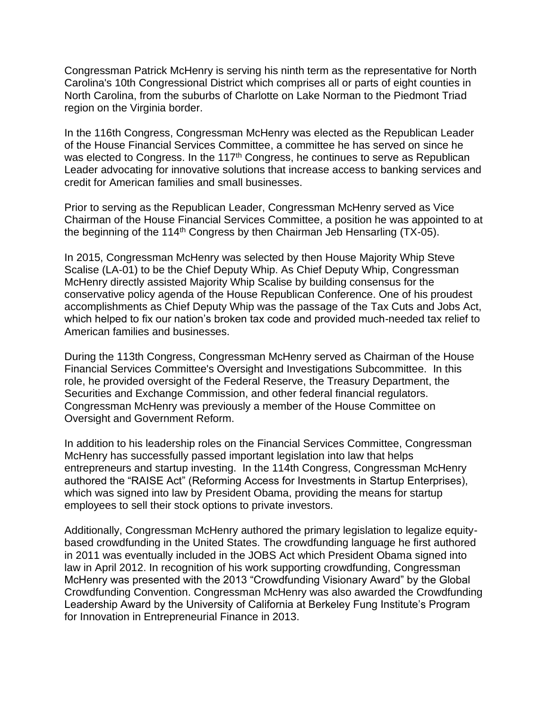Congressman Patrick McHenry is serving his ninth term as the representative for North Carolina's 10th Congressional District which comprises all or parts of eight counties in North Carolina, from the suburbs of Charlotte on Lake Norman to the Piedmont Triad region on the Virginia border.

In the 116th Congress, Congressman McHenry was elected as the Republican Leader of the House Financial Services Committee, a committee he has served on since he was elected to Congress. In the 117<sup>th</sup> Congress, he continues to serve as Republican Leader advocating for innovative solutions that increase access to banking services and credit for American families and small businesses.

Prior to serving as the Republican Leader, Congressman McHenry served as Vice Chairman of the House Financial Services Committee, a position he was appointed to at the beginning of the 114<sup>th</sup> Congress by then Chairman Jeb Hensarling (TX-05).

In 2015, Congressman McHenry was selected by then House Majority Whip Steve Scalise (LA-01) to be the Chief Deputy Whip. As Chief Deputy Whip, Congressman McHenry directly assisted Majority Whip Scalise by building consensus for the conservative policy agenda of the House Republican Conference. One of his proudest accomplishments as Chief Deputy Whip was the passage of the Tax Cuts and Jobs Act, which helped to fix our nation's broken tax code and provided much-needed tax relief to American families and businesses.

During the 113th Congress, Congressman McHenry served as Chairman of the House Financial Services Committee's Oversight and Investigations Subcommittee. In this role, he provided oversight of the Federal Reserve, the Treasury Department, the Securities and Exchange Commission, and other federal financial regulators. Congressman McHenry was previously a member of the House Committee on Oversight and Government Reform.

In addition to his leadership roles on the Financial Services Committee, Congressman McHenry has successfully passed important legislation into law that helps entrepreneurs and startup investing. In the 114th Congress, Congressman McHenry authored the "RAISE Act" (Reforming Access for Investments in Startup Enterprises), which was signed into law by President Obama, providing the means for startup employees to sell their stock options to private investors.

Additionally, Congressman McHenry authored the primary legislation to legalize equitybased crowdfunding in the United States. The crowdfunding language he first authored in 2011 was eventually included in the JOBS Act which President Obama signed into law in April 2012. In recognition of his work supporting crowdfunding, Congressman McHenry was presented with the 2013 "Crowdfunding Visionary Award" by the Global Crowdfunding Convention. Congressman McHenry was also awarded the Crowdfunding Leadership Award by the University of California at Berkeley Fung Institute's Program for Innovation in Entrepreneurial Finance in 2013.